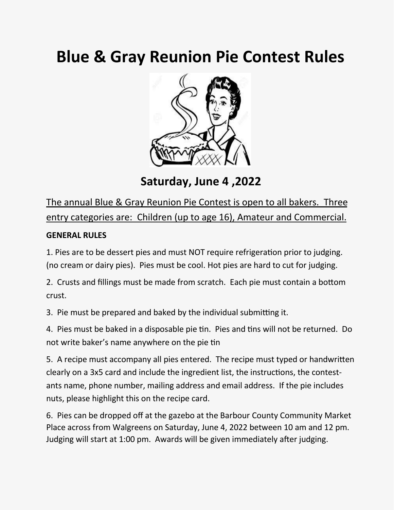## **Blue & Gray Reunion Pie Contest Rules**



**Saturday, June 4 ,2022** 

The annual Blue & Gray Reunion Pie Contest is open to all bakers. Three entry categories are: Children (up to age 16), Amateur and Commercial.

## **GENERAL RULES**

1. Pies are to be dessert pies and must NOT require refrigeration prior to judging. (no cream or dairy pies). Pies must be cool. Hot pies are hard to cut for judging.

2. Crusts and fillings must be made from scratch. Each pie must contain a bottom crust.

3. Pie must be prepared and baked by the individual submitting it.

4. Pies must be baked in a disposable pie tin. Pies and tins will not be returned. Do not write baker's name anywhere on the pie tin

5. A recipe must accompany all pies entered. The recipe must typed or handwritten clearly on a 3x5 card and include the ingredient list, the instructions, the contestants name, phone number, mailing address and email address. If the pie includes nuts, please highlight this on the recipe card.

6. Pies can be dropped off at the gazebo at the Barbour County Community Market Place across from Walgreens on Saturday, June 4, 2022 between 10 am and 12 pm. Judging will start at 1:00 pm. Awards will be given immediately after judging.